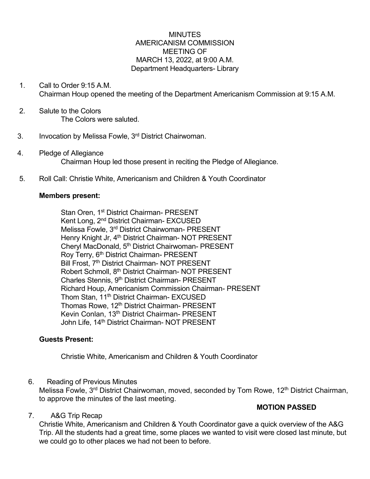#### MINUTES AMERICANISM COMMISSION MEETING OF MARCH 13, 2022, at 9:00 A.M. Department Headquarters- Library

- 1. Call to Order 9:15 A.M. Chairman Houp opened the meeting of the Department Americanism Commission at 9:15 A.M.
- 2. Salute to the Colors The Colors were saluted.
- 3. Invocation by Melissa Fowle, 3<sup>rd</sup> District Chairwoman.
- 4. Pledge of Allegiance Chairman Houp led those present in reciting the Pledge of Allegiance.
- 5. Roll Call: Christie White, Americanism and Children & Youth Coordinator

#### **Members present:**

Stan Oren, 1<sup>st</sup> District Chairman- PRESENT Kent Long, 2nd District Chairman- EXCUSED Melissa Fowle, 3rd District Chairwoman- PRESENT Henry Knight Jr, 4<sup>th</sup> District Chairman- NOT PRESENT Cheryl MacDonald, 5<sup>th</sup> District Chairwoman- PRESENT Roy Terry, 6<sup>th</sup> District Chairman- PRESENT Bill Frost, 7<sup>th</sup> District Chairman- NOT PRESENT Robert Schmoll, 8th District Chairman- NOT PRESENT Charles Stennis, 9th District Chairman- PRESENT Richard Houp, Americanism Commission Chairman- PRESENT Thom Stan, 11th District Chairman- EXCUSED Thomas Rowe, 12<sup>th</sup> District Chairman- PRESENT Kevin Conlan, 13<sup>th</sup> District Chairman- PRESENT John Life, 14<sup>th</sup> District Chairman- NOT PRESENT

#### **Guests Present:**

Christie White, Americanism and Children & Youth Coordinator

6. Reading of Previous Minutes

Melissa Fowle, 3<sup>rd</sup> District Chairwoman, moved, seconded by Tom Rowe, 12<sup>th</sup> District Chairman, to approve the minutes of the last meeting.

#### **MOTION PASSED**

### 7. A&G Trip Recap

Christie White, Americanism and Children & Youth Coordinator gave a quick overview of the A&G Trip. All the students had a great time, some places we wanted to visit were closed last minute, but we could go to other places we had not been to before.